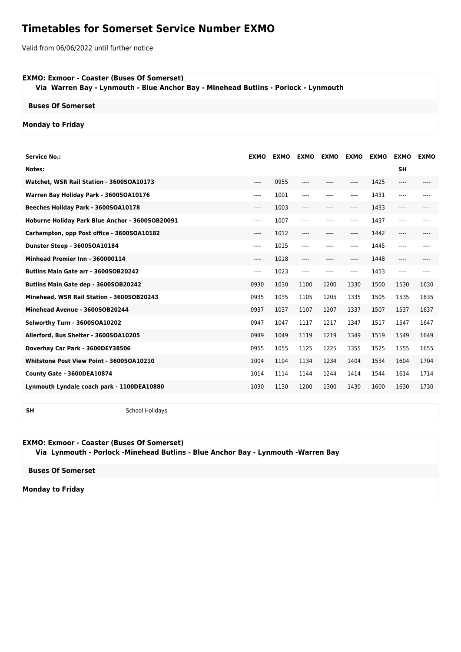# **Timetables for Somerset Service Number EXMO**

Valid from 06/06/2022 until further notice

#### **EXMO: Exmoor - Coaster (Buses Of Somerset)**

 **Via Warren Bay - Lynmouth - Blue Anchor Bay - Minehead Butlins - Porlock - Lynmouth**

### **Buses Of Somerset**

## **Monday to Friday**

| <b>Service No.:</b>                             | <b>EXMO</b> | <b>EXMO</b> | <b>EXMO</b> | <b>EXMO</b> | <b>EXMO</b> | <b>EXMO</b> | <b>EXMO</b> | <b>EXMO</b> |
|-------------------------------------------------|-------------|-------------|-------------|-------------|-------------|-------------|-------------|-------------|
| Notes:                                          |             |             |             |             |             |             | <b>SH</b>   |             |
| Watchet, WSR Rail Station - 3600SOA10173        | $---$       | 0955        | ----        | ----        | ----        | 1425        | ----        | ----        |
| Warren Bay Holiday Park - 3600SOA10176          | $---$       | 1001        | ----        | ----        | ----        | 1431        | $---$       | ----        |
| Beeches Holiday Park - 3600SOA10178             | $---$       | 1003        | $---$       | ----        | ----        | 1433        | $---$       |             |
| Hoburne Holiday Park Blue Anchor - 3600SOB20091 | $---$       | 1007        | ----        | ----        | ----        | 1437        | $---$       |             |
| Carhampton, opp Post office - 3600SOA10182      | ----        | 1012        | ----        | $---$       | ----        | 1442        | ----        |             |
| Dunster Steep - 3600SOA10184                    | $---$       | 1015        | ----        | ----        | ----        | 1445        | ----        | $---$       |
| Minhead Premier Inn - 360000114                 | $---$       | 1018        | $---$       | $---$       | ----        | 1448        | $---$       | $--- -$     |
| Butlins Main Gate arr - 3600SOB20242            | $---$       | 1023        | ----        | $---$       | $---$       | 1453        | $---$       | $---$       |
| <b>Butlins Main Gate dep - 3600SOB20242</b>     | 0930        | 1030        | 1100        | 1200        | 1330        | 1500        | 1530        | 1630        |
| Minehead, WSR Rail Station - 3600SOB20243       | 0935        | 1035        | 1105        | 1205        | 1335        | 1505        | 1535        | 1635        |
| Minehead Avenue - 3600SOB20244                  | 0937        | 1037        | 1107        | 1207        | 1337        | 1507        | 1537        | 1637        |
| Selworthy Turn - 3600SOA10202                   | 0947        | 1047        | 1117        | 1217        | 1347        | 1517        | 1547        | 1647        |
| Allerford, Bus Shelter - 3600SOA10205           | 0949        | 1049        | 1119        | 1219        | 1349        | 1519        | 1549        | 1649        |
| Doverhay Car Park - 3600DEY38506                | 0955        | 1055        | 1125        | 1225        | 1355        | 1525        | 1555        | 1655        |
| Whitstone Post View Point - 3600SOA10210        | 1004        | 1104        | 1134        | 1234        | 1404        | 1534        | 1604        | 1704        |
| County Gate - 3600DEA10874                      | 1014        | 1114        | 1144        | 1244        | 1414        | 1544        | 1614        | 1714        |
| Lynmouth Lyndale coach park - 1100DEA10880      | 1030        | 1130        | 1200        | 1300        | 1430        | 1600        | 1630        | 1730        |
|                                                 |             |             |             |             |             |             |             |             |

**SH** School Holidays

#### **EXMO: Exmoor - Coaster (Buses Of Somerset)**

 **Via Lynmouth - Porlock -Minehead Butlins - Blue Anchor Bay - Lynmouth -Warren Bay**

**Buses Of Somerset**

**Monday to Friday**